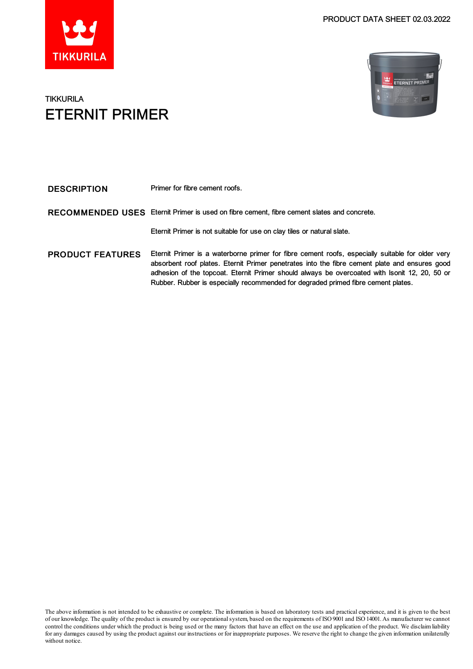



### **TIKKURILA** ETERNIT PRIMER

| <b>DESCRIPTION</b>      | Primer for fibre cement roofs.                                                                                                                                                                                                                                                                                                                                                          |
|-------------------------|-----------------------------------------------------------------------------------------------------------------------------------------------------------------------------------------------------------------------------------------------------------------------------------------------------------------------------------------------------------------------------------------|
| <b>RECOMMENDED USES</b> | Eternit Primer is used on fibre cement, fibre cement slates and concrete.                                                                                                                                                                                                                                                                                                               |
|                         | Eternit Primer is not suitable for use on clay tiles or natural slate.                                                                                                                                                                                                                                                                                                                  |
| <b>PRODUCT FEATURES</b> | Eternit Primer is a waterborne primer for fibre cement roofs, especially suitable for older very<br>absorbent roof plates. Eternit Primer penetrates into the fibre cement plate and ensures good<br>adhesion of the topcoat. Eternit Primer should always be overcoated with Isonit 12, 20, 50 or<br>Rubber. Rubber is especially recommended for degraded primed fibre cement plates. |

The above information is not intended to be exhaustive or complete. The information is based on laboratory tests and practical experience, and it is given to the best of our knowledge. The quality of the product is ensured by our operationalsystem, based on the requirements of ISO9001 and ISO14001.As manufacturer we cannot control the conditions under which the product is being used or the many factors that have an effect on the use and application of the product. We disclaimliability for any damages caused by using the product against our instructions or for inappropriate purposes. We reserve the right to change the given information unilaterally without notice.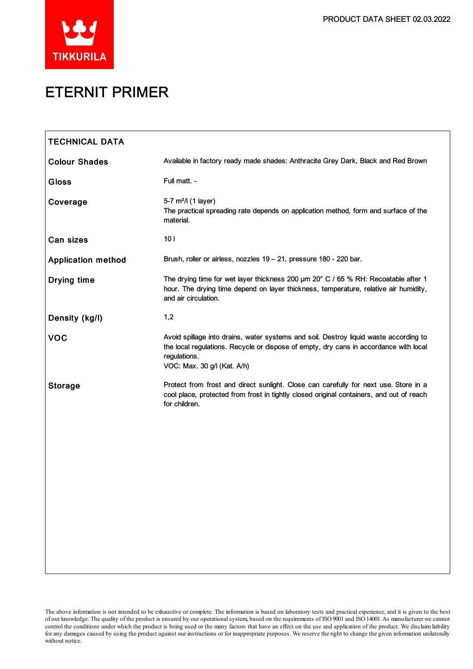



# ETERNIT PRIMER

| <b>TECHNICAL DATA</b>     |                                                                                                                                                                                                                               |
|---------------------------|-------------------------------------------------------------------------------------------------------------------------------------------------------------------------------------------------------------------------------|
| <b>Colour Shades</b>      | Available in factory ready made shades: Anthracite Grey Dark, Black and Red Brown                                                                                                                                             |
| <b>Gloss</b>              | Full matt. -                                                                                                                                                                                                                  |
| Coverage                  | 5-7 m <sup>2</sup> /l (1 layer)<br>The practical spreading rate depends on application method, form and surface of the<br>material.                                                                                           |
| <b>Can sizes</b>          | 101                                                                                                                                                                                                                           |
| <b>Application method</b> | Brush, roller or airless, nozzles 19 - 21, pressure 180 - 220 bar.                                                                                                                                                            |
| <b>Drying time</b>        | The drying time for wet layer thickness 200 um 20° C / 65 % RH: Recoatable after 1<br>hour. The drying time depend on layer thickness, temperature, relative air humidity,<br>and air circulation.                            |
| Density (kg/l)            | 1,2                                                                                                                                                                                                                           |
| <b>VOC</b>                | Avoid spillage into drains, water systems and soil. Destroy liquid waste according to<br>the local regulations. Recycle or dispose of empty, dry cans in accordance with local<br>regulations.<br>VOC: Max. 30 g/l (Kat. A/h) |
| <b>Storage</b>            | Protect from frost and direct sunlight. Close can carefully for next use. Store in a<br>cool place, protected from frost in tightly closed original containers, and out of reach<br>for children.                             |

The above information is not intended to be exhaustive or complete. The information is based on laboratory tests and practical experience, and it is given to the best of our knowledge. The quality of the product is ensured by our operationalsystem, based on the requirements of ISO9001 and ISO14001.As manufacturer we cannot control the conditions under which the product is being used or the many factors that have an effect on the use and application of the product. We disclaimliability forany damages caused by using the product against our instructions or for inappropriate purposes. We reserve the right to change the given information unilaterally without notice.